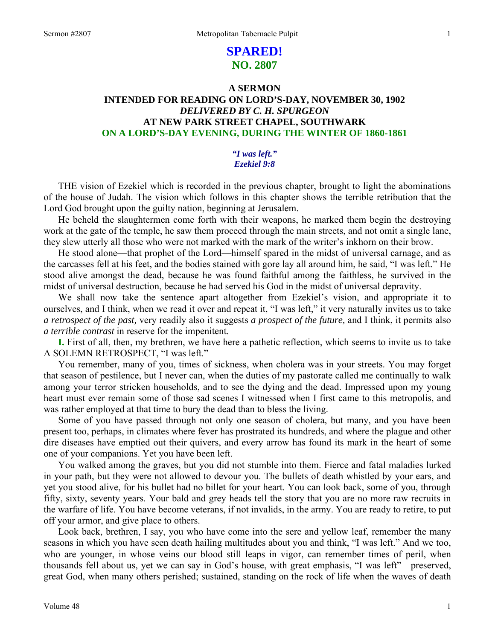# **SPARED! NO. 2807**

# **A SERMON INTENDED FOR READING ON LORD'S-DAY, NOVEMBER 30, 1902**  *DELIVERED BY C. H. SPURGEON*  **AT NEW PARK STREET CHAPEL, SOUTHWARK ON A LORD'S-DAY EVENING, DURING THE WINTER OF 1860-1861**

# *"I was left." Ezekiel 9:8*

THE vision of Ezekiel which is recorded in the previous chapter, brought to light the abominations of the house of Judah. The vision which follows in this chapter shows the terrible retribution that the Lord God brought upon the guilty nation, beginning at Jerusalem.

He beheld the slaughtermen come forth with their weapons, he marked them begin the destroying work at the gate of the temple, he saw them proceed through the main streets, and not omit a single lane, they slew utterly all those who were not marked with the mark of the writer's inkhorn on their brow.

He stood alone—that prophet of the Lord—himself spared in the midst of universal carnage, and as the carcasses fell at his feet, and the bodies stained with gore lay all around him, he said, "I was left." He stood alive amongst the dead, because he was found faithful among the faithless, he survived in the midst of universal destruction, because he had served his God in the midst of universal depravity.

We shall now take the sentence apart altogether from Ezekiel's vision, and appropriate it to ourselves, and I think, when we read it over and repeat it, "I was left," it very naturally invites us to take *a retrospect of the past,* very readily also it suggests *a prospect of the future,* and I think, it permits also *a terrible contrast* in reserve for the impenitent.

**I.** First of all, then, my brethren, we have here a pathetic reflection, which seems to invite us to take A SOLEMN RETROSPECT, "I was left."

You remember, many of you, times of sickness, when cholera was in your streets. You may forget that season of pestilence, but I never can, when the duties of my pastorate called me continually to walk among your terror stricken households, and to see the dying and the dead. Impressed upon my young heart must ever remain some of those sad scenes I witnessed when I first came to this metropolis, and was rather employed at that time to bury the dead than to bless the living.

Some of you have passed through not only one season of cholera, but many, and you have been present too, perhaps, in climates where fever has prostrated its hundreds, and where the plague and other dire diseases have emptied out their quivers, and every arrow has found its mark in the heart of some one of your companions. Yet you have been left.

You walked among the graves, but you did not stumble into them. Fierce and fatal maladies lurked in your path, but they were not allowed to devour you. The bullets of death whistled by your ears, and yet you stood alive, for his bullet had no billet for your heart. You can look back, some of you, through fifty, sixty, seventy years. Your bald and grey heads tell the story that you are no more raw recruits in the warfare of life. You have become veterans, if not invalids, in the army. You are ready to retire, to put off your armor, and give place to others.

Look back, brethren, I say, you who have come into the sere and yellow leaf, remember the many seasons in which you have seen death hailing multitudes about you and think, "I was left." And we too, who are younger, in whose veins our blood still leaps in vigor, can remember times of peril, when thousands fell about us, yet we can say in God's house, with great emphasis, "I was left"—preserved, great God, when many others perished; sustained, standing on the rock of life when the waves of death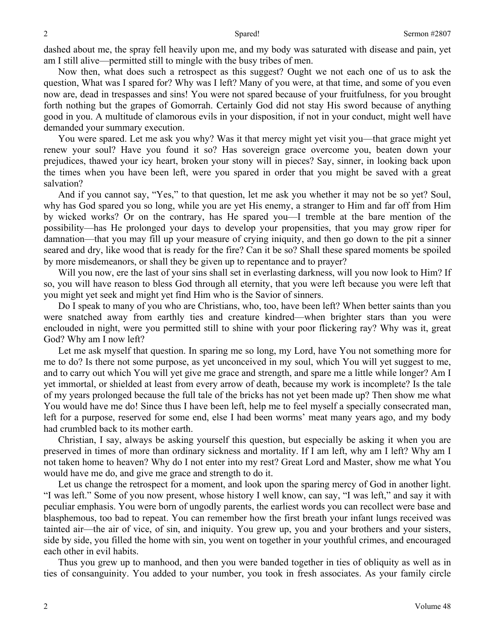dashed about me, the spray fell heavily upon me, and my body was saturated with disease and pain, yet am I still alive—permitted still to mingle with the busy tribes of men.

Now then, what does such a retrospect as this suggest? Ought we not each one of us to ask the question, What was I spared for? Why was I left? Many of you were, at that time, and some of you even now are, dead in trespasses and sins! You were not spared because of your fruitfulness, for you brought forth nothing but the grapes of Gomorrah. Certainly God did not stay His sword because of anything good in you. A multitude of clamorous evils in your disposition, if not in your conduct, might well have demanded your summary execution.

You were spared. Let me ask you why? Was it that mercy might yet visit you—that grace might yet renew your soul? Have you found it so? Has sovereign grace overcome you, beaten down your prejudices, thawed your icy heart, broken your stony will in pieces? Say, sinner, in looking back upon the times when you have been left, were you spared in order that you might be saved with a great salvation?

And if you cannot say, "Yes," to that question, let me ask you whether it may not be so yet? Soul, why has God spared you so long, while you are yet His enemy, a stranger to Him and far off from Him by wicked works? Or on the contrary, has He spared you—I tremble at the bare mention of the possibility—has He prolonged your days to develop your propensities, that you may grow riper for damnation—that you may fill up your measure of crying iniquity, and then go down to the pit a sinner seared and dry, like wood that is ready for the fire? Can it be so? Shall these spared moments be spoiled by more misdemeanors, or shall they be given up to repentance and to prayer?

Will you now, ere the last of your sins shall set in everlasting darkness, will you now look to Him? If so, you will have reason to bless God through all eternity, that you were left because you were left that you might yet seek and might yet find Him who is the Savior of sinners.

Do I speak to many of you who are Christians, who, too, have been left? When better saints than you were snatched away from earthly ties and creature kindred—when brighter stars than you were enclouded in night, were you permitted still to shine with your poor flickering ray? Why was it, great God? Why am I now left?

Let me ask myself that question. In sparing me so long, my Lord, have You not something more for me to do? Is there not some purpose, as yet unconceived in my soul, which You will yet suggest to me, and to carry out which You will yet give me grace and strength, and spare me a little while longer? Am I yet immortal, or shielded at least from every arrow of death, because my work is incomplete? Is the tale of my years prolonged because the full tale of the bricks has not yet been made up? Then show me what You would have me do! Since thus I have been left, help me to feel myself a specially consecrated man, left for a purpose, reserved for some end, else I had been worms' meat many years ago, and my body had crumbled back to its mother earth.

Christian, I say, always be asking yourself this question, but especially be asking it when you are preserved in times of more than ordinary sickness and mortality. If I am left, why am I left? Why am I not taken home to heaven? Why do I not enter into my rest? Great Lord and Master, show me what You would have me do, and give me grace and strength to do it.

Let us change the retrospect for a moment, and look upon the sparing mercy of God in another light. "I was left." Some of you now present, whose history I well know, can say, "I was left," and say it with peculiar emphasis. You were born of ungodly parents, the earliest words you can recollect were base and blasphemous, too bad to repeat. You can remember how the first breath your infant lungs received was tainted air—the air of vice, of sin, and iniquity. You grew up, you and your brothers and your sisters, side by side, you filled the home with sin, you went on together in your youthful crimes, and encouraged each other in evil habits.

Thus you grew up to manhood, and then you were banded together in ties of obliquity as well as in ties of consanguinity. You added to your number, you took in fresh associates. As your family circle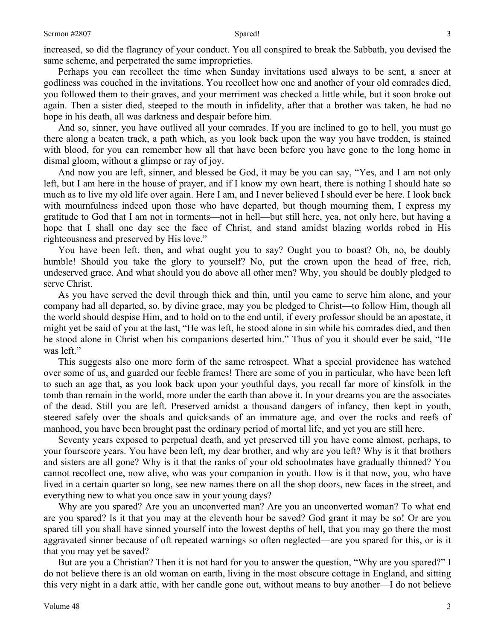increased, so did the flagrancy of your conduct. You all conspired to break the Sabbath, you devised the same scheme, and perpetrated the same improprieties.

Perhaps you can recollect the time when Sunday invitations used always to be sent, a sneer at godliness was couched in the invitations. You recollect how one and another of your old comrades died, you followed them to their graves, and your merriment was checked a little while, but it soon broke out again. Then a sister died, steeped to the mouth in infidelity, after that a brother was taken, he had no hope in his death, all was darkness and despair before him.

And so, sinner, you have outlived all your comrades. If you are inclined to go to hell, you must go there along a beaten track, a path which, as you look back upon the way you have trodden, is stained with blood, for you can remember how all that have been before you have gone to the long home in dismal gloom, without a glimpse or ray of joy.

And now you are left, sinner, and blessed be God, it may be you can say, "Yes, and I am not only left, but I am here in the house of prayer, and if I know my own heart, there is nothing I should hate so much as to live my old life over again. Here I am, and I never believed I should ever be here. I look back with mournfulness indeed upon those who have departed, but though mourning them, I express my gratitude to God that I am not in torments—not in hell—but still here, yea, not only here, but having a hope that I shall one day see the face of Christ, and stand amidst blazing worlds robed in His righteousness and preserved by His love."

You have been left, then, and what ought you to say? Ought you to boast? Oh, no, be doubly humble! Should you take the glory to yourself? No, put the crown upon the head of free, rich, undeserved grace. And what should you do above all other men? Why, you should be doubly pledged to serve Christ.

As you have served the devil through thick and thin, until you came to serve him alone, and your company had all departed, so, by divine grace, may you be pledged to Christ—to follow Him, though all the world should despise Him, and to hold on to the end until, if every professor should be an apostate, it might yet be said of you at the last, "He was left, he stood alone in sin while his comrades died, and then he stood alone in Christ when his companions deserted him." Thus of you it should ever be said, "He was left."

This suggests also one more form of the same retrospect. What a special providence has watched over some of us, and guarded our feeble frames! There are some of you in particular, who have been left to such an age that, as you look back upon your youthful days, you recall far more of kinsfolk in the tomb than remain in the world, more under the earth than above it. In your dreams you are the associates of the dead. Still you are left. Preserved amidst a thousand dangers of infancy, then kept in youth, steered safely over the shoals and quicksands of an immature age, and over the rocks and reefs of manhood, you have been brought past the ordinary period of mortal life, and yet you are still here.

Seventy years exposed to perpetual death, and yet preserved till you have come almost, perhaps, to your fourscore years. You have been left, my dear brother, and why are you left? Why is it that brothers and sisters are all gone? Why is it that the ranks of your old schoolmates have gradually thinned? You cannot recollect one, now alive, who was your companion in youth. How is it that now, you, who have lived in a certain quarter so long, see new names there on all the shop doors, new faces in the street, and everything new to what you once saw in your young days?

Why are you spared? Are you an unconverted man? Are you an unconverted woman? To what end are you spared? Is it that you may at the eleventh hour be saved? God grant it may be so! Or are you spared till you shall have sinned yourself into the lowest depths of hell, that you may go there the most aggravated sinner because of oft repeated warnings so often neglected—are you spared for this, or is it that you may yet be saved?

But are you a Christian? Then it is not hard for you to answer the question, "Why are you spared?" I do not believe there is an old woman on earth, living in the most obscure cottage in England, and sitting this very night in a dark attic, with her candle gone out, without means to buy another—I do not believe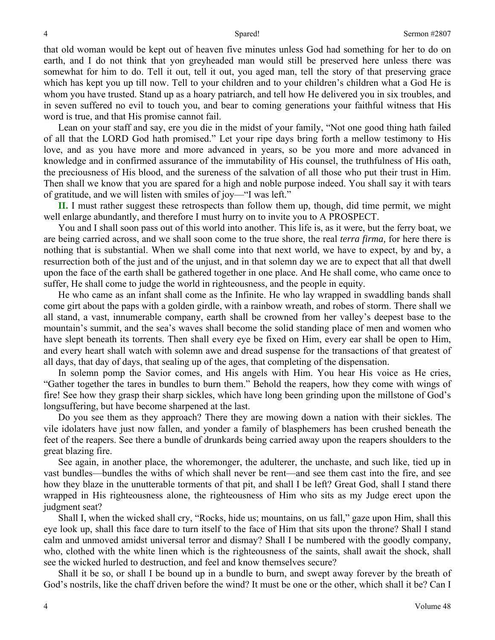that old woman would be kept out of heaven five minutes unless God had something for her to do on earth, and I do not think that yon greyheaded man would still be preserved here unless there was somewhat for him to do. Tell it out, tell it out, you aged man, tell the story of that preserving grace which has kept you up till now. Tell to your children and to your children's children what a God He is whom you have trusted. Stand up as a hoary patriarch, and tell how He delivered you in six troubles, and in seven suffered no evil to touch you, and bear to coming generations your faithful witness that His word is true, and that His promise cannot fail.

Lean on your staff and say, ere you die in the midst of your family, "Not one good thing hath failed of all that the LORD God hath promised." Let your ripe days bring forth a mellow testimony to His love, and as you have more and more advanced in years, so be you more and more advanced in knowledge and in confirmed assurance of the immutability of His counsel, the truthfulness of His oath, the preciousness of His blood, and the sureness of the salvation of all those who put their trust in Him. Then shall we know that you are spared for a high and noble purpose indeed. You shall say it with tears of gratitude, and we will listen with smiles of joy—"I was left."

**II.** I must rather suggest these retrospects than follow them up, though, did time permit, we might well enlarge abundantly, and therefore I must hurry on to invite you to A PROSPECT.

You and I shall soon pass out of this world into another. This life is, as it were, but the ferry boat, we are being carried across, and we shall soon come to the true shore, the real *terra firma,* for here there is nothing that is substantial. When we shall come into that next world, we have to expect, by and by, a resurrection both of the just and of the unjust, and in that solemn day we are to expect that all that dwell upon the face of the earth shall be gathered together in one place. And He shall come, who came once to suffer, He shall come to judge the world in righteousness, and the people in equity.

He who came as an infant shall come as the Infinite. He who lay wrapped in swaddling bands shall come girt about the paps with a golden girdle, with a rainbow wreath, and robes of storm. There shall we all stand, a vast, innumerable company, earth shall be crowned from her valley's deepest base to the mountain's summit, and the sea's waves shall become the solid standing place of men and women who have slept beneath its torrents. Then shall every eye be fixed on Him, every ear shall be open to Him, and every heart shall watch with solemn awe and dread suspense for the transactions of that greatest of all days, that day of days, that sealing up of the ages, that completing of the dispensation.

In solemn pomp the Savior comes, and His angels with Him. You hear His voice as He cries, "Gather together the tares in bundles to burn them." Behold the reapers, how they come with wings of fire! See how they grasp their sharp sickles, which have long been grinding upon the millstone of God's longsuffering, but have become sharpened at the last.

Do you see them as they approach? There they are mowing down a nation with their sickles. The vile idolaters have just now fallen, and yonder a family of blasphemers has been crushed beneath the feet of the reapers. See there a bundle of drunkards being carried away upon the reapers shoulders to the great blazing fire.

See again, in another place, the whoremonger, the adulterer, the unchaste, and such like, tied up in vast bundles—bundles the withs of which shall never be rent—and see them cast into the fire, and see how they blaze in the unutterable torments of that pit, and shall I be left? Great God, shall I stand there wrapped in His righteousness alone, the righteousness of Him who sits as my Judge erect upon the judgment seat?

Shall I, when the wicked shall cry, "Rocks, hide us; mountains, on us fall," gaze upon Him, shall this eye look up, shall this face dare to turn itself to the face of Him that sits upon the throne? Shall I stand calm and unmoved amidst universal terror and dismay? Shall I be numbered with the goodly company, who, clothed with the white linen which is the righteousness of the saints, shall await the shock, shall see the wicked hurled to destruction, and feel and know themselves secure?

Shall it be so, or shall I be bound up in a bundle to burn, and swept away forever by the breath of God's nostrils, like the chaff driven before the wind? It must be one or the other, which shall it be? Can I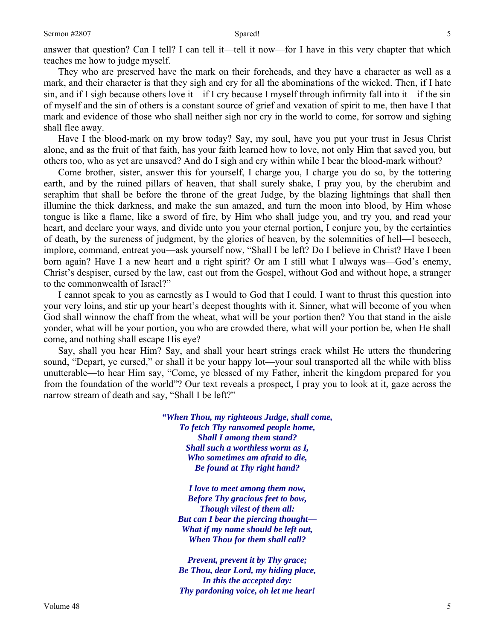answer that question? Can I tell? I can tell it—tell it now—for I have in this very chapter that which teaches me how to judge myself.

They who are preserved have the mark on their foreheads, and they have a character as well as a mark, and their character is that they sigh and cry for all the abominations of the wicked. Then, if I hate sin, and if I sigh because others love it—if I cry because I myself through infirmity fall into it—if the sin of myself and the sin of others is a constant source of grief and vexation of spirit to me, then have I that mark and evidence of those who shall neither sigh nor cry in the world to come, for sorrow and sighing shall flee away.

Have I the blood-mark on my brow today? Say, my soul, have you put your trust in Jesus Christ alone, and as the fruit of that faith, has your faith learned how to love, not only Him that saved you, but others too, who as yet are unsaved? And do I sigh and cry within while I bear the blood-mark without?

Come brother, sister, answer this for yourself, I charge you, I charge you do so, by the tottering earth, and by the ruined pillars of heaven, that shall surely shake, I pray you, by the cherubim and seraphim that shall be before the throne of the great Judge, by the blazing lightnings that shall then illumine the thick darkness, and make the sun amazed, and turn the moon into blood, by Him whose tongue is like a flame, like a sword of fire, by Him who shall judge you, and try you, and read your heart, and declare your ways, and divide unto you your eternal portion, I conjure you, by the certainties of death, by the sureness of judgment, by the glories of heaven, by the solemnities of hell—I beseech, implore, command, entreat you—ask yourself now, "Shall I be left? Do I believe in Christ? Have I been born again? Have I a new heart and a right spirit? Or am I still what I always was—God's enemy, Christ's despiser, cursed by the law, cast out from the Gospel, without God and without hope, a stranger to the commonwealth of Israel?"

I cannot speak to you as earnestly as I would to God that I could. I want to thrust this question into your very loins, and stir up your heart's deepest thoughts with it. Sinner, what will become of you when God shall winnow the chaff from the wheat, what will be your portion then? You that stand in the aisle yonder, what will be your portion, you who are crowded there, what will your portion be, when He shall come, and nothing shall escape His eye?

Say, shall you hear Him? Say, and shall your heart strings crack whilst He utters the thundering sound, "Depart, ye cursed," or shall it be your happy lot—your soul transported all the while with bliss unutterable—to hear Him say, "Come, ye blessed of my Father, inherit the kingdom prepared for you from the foundation of the world"? Our text reveals a prospect, I pray you to look at it, gaze across the narrow stream of death and say, "Shall I be left?"

> *"When Thou, my righteous Judge, shall come, To fetch Thy ransomed people home, Shall I among them stand? Shall such a worthless worm as I, Who sometimes am afraid to die, Be found at Thy right hand?*

*I love to meet among them now, Before Thy gracious feet to bow, Though vilest of them all: But can I bear the piercing thought— What if my name should be left out, When Thou for them shall call?* 

*Prevent, prevent it by Thy grace; Be Thou, dear Lord, my hiding place, In this the accepted day: Thy pardoning voice, oh let me hear!*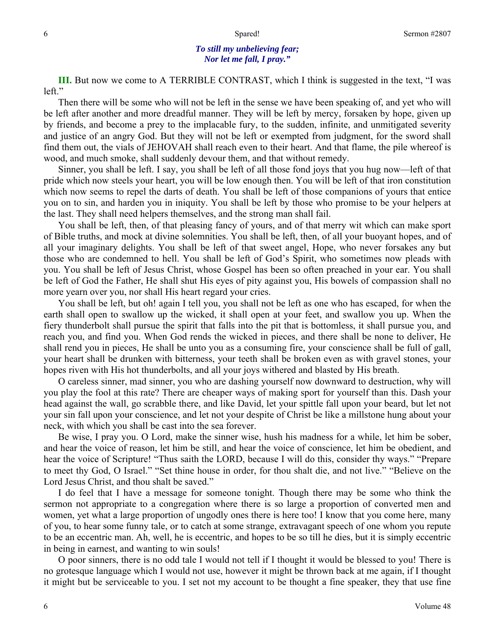### *To still my unbelieving fear; Nor let me fall, I pray."*

**III.** But now we come to A TERRIBLE CONTRAST, which I think is suggested in the text, "I was left."

Then there will be some who will not be left in the sense we have been speaking of, and yet who will be left after another and more dreadful manner. They will be left by mercy, forsaken by hope, given up by friends, and become a prey to the implacable fury, to the sudden, infinite, and unmitigated severity and justice of an angry God. But they will not be left or exempted from judgment, for the sword shall find them out, the vials of JEHOVAH shall reach even to their heart. And that flame, the pile whereof is wood, and much smoke, shall suddenly devour them, and that without remedy.

Sinner, you shall be left. I say, you shall be left of all those fond joys that you hug now—left of that pride which now steels your heart, you will be low enough then. You will be left of that iron constitution which now seems to repel the darts of death. You shall be left of those companions of yours that entice you on to sin, and harden you in iniquity. You shall be left by those who promise to be your helpers at the last. They shall need helpers themselves, and the strong man shall fail.

You shall be left, then, of that pleasing fancy of yours, and of that merry wit which can make sport of Bible truths, and mock at divine solemnities. You shall be left, then, of all your buoyant hopes, and of all your imaginary delights. You shall be left of that sweet angel, Hope, who never forsakes any but those who are condemned to hell. You shall be left of God's Spirit, who sometimes now pleads with you. You shall be left of Jesus Christ, whose Gospel has been so often preached in your ear. You shall be left of God the Father, He shall shut His eyes of pity against you, His bowels of compassion shall no more yearn over you, nor shall His heart regard your cries.

You shall be left, but oh! again I tell you, you shall not be left as one who has escaped, for when the earth shall open to swallow up the wicked, it shall open at your feet, and swallow you up. When the fiery thunderbolt shall pursue the spirit that falls into the pit that is bottomless, it shall pursue you, and reach you, and find you. When God rends the wicked in pieces, and there shall be none to deliver, He shall rend you in pieces, He shall be unto you as a consuming fire, your conscience shall be full of gall, your heart shall be drunken with bitterness, your teeth shall be broken even as with gravel stones, your hopes riven with His hot thunderbolts, and all your joys withered and blasted by His breath.

O careless sinner, mad sinner, you who are dashing yourself now downward to destruction, why will you play the fool at this rate? There are cheaper ways of making sport for yourself than this. Dash your head against the wall, go scrabble there, and like David, let your spittle fall upon your beard, but let not your sin fall upon your conscience, and let not your despite of Christ be like a millstone hung about your neck, with which you shall be cast into the sea forever.

Be wise, I pray you. O Lord, make the sinner wise, hush his madness for a while, let him be sober, and hear the voice of reason, let him be still, and hear the voice of conscience, let him be obedient, and hear the voice of Scripture! "Thus saith the LORD, because I will do this, consider thy ways." "Prepare to meet thy God, O Israel." "Set thine house in order, for thou shalt die, and not live." "Believe on the Lord Jesus Christ, and thou shalt be saved."

I do feel that I have a message for someone tonight. Though there may be some who think the sermon not appropriate to a congregation where there is so large a proportion of converted men and women, yet what a large proportion of ungodly ones there is here too! I know that you come here, many of you, to hear some funny tale, or to catch at some strange, extravagant speech of one whom you repute to be an eccentric man. Ah, well, he is eccentric, and hopes to be so till he dies, but it is simply eccentric in being in earnest, and wanting to win souls!

O poor sinners, there is no odd tale I would not tell if I thought it would be blessed to you! There is no grotesque language which I would not use, however it might be thrown back at me again, if I thought it might but be serviceable to you. I set not my account to be thought a fine speaker, they that use fine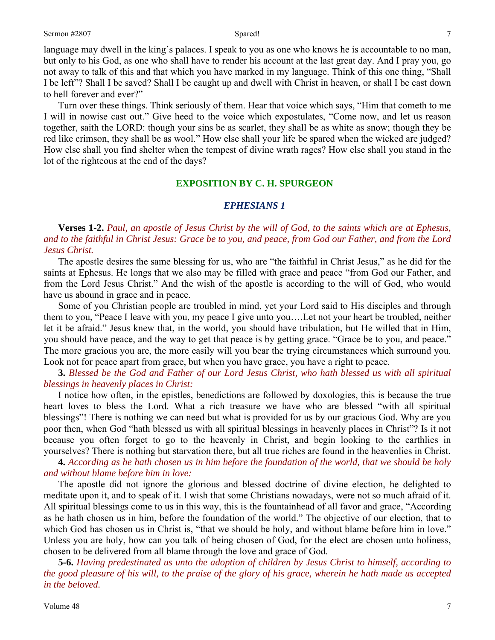language may dwell in the king's palaces. I speak to you as one who knows he is accountable to no man, but only to his God, as one who shall have to render his account at the last great day. And I pray you, go not away to talk of this and that which you have marked in my language. Think of this one thing, "Shall I be left"? Shall I be saved? Shall I be caught up and dwell with Christ in heaven, or shall I be cast down to hell forever and ever?"

Turn over these things. Think seriously of them. Hear that voice which says, "Him that cometh to me I will in nowise cast out." Give heed to the voice which expostulates, "Come now, and let us reason together, saith the LORD: though your sins be as scarlet, they shall be as white as snow; though they be red like crimson, they shall be as wool." How else shall your life be spared when the wicked are judged? How else shall you find shelter when the tempest of divine wrath rages? How else shall you stand in the lot of the righteous at the end of the days?

### **EXPOSITION BY C. H. SPURGEON**

### *EPHESIANS 1*

**Verses 1-2.** *Paul, an apostle of Jesus Christ by the will of God, to the saints which are at Ephesus, and to the faithful in Christ Jesus: Grace be to you, and peace, from God our Father, and from the Lord Jesus Christ.* 

The apostle desires the same blessing for us, who are "the faithful in Christ Jesus," as he did for the saints at Ephesus. He longs that we also may be filled with grace and peace "from God our Father, and from the Lord Jesus Christ." And the wish of the apostle is according to the will of God, who would have us abound in grace and in peace.

Some of you Christian people are troubled in mind, yet your Lord said to His disciples and through them to you, "Peace I leave with you, my peace I give unto you….Let not your heart be troubled, neither let it be afraid." Jesus knew that, in the world, you should have tribulation, but He willed that in Him, you should have peace, and the way to get that peace is by getting grace. "Grace be to you, and peace." The more gracious you are, the more easily will you bear the trying circumstances which surround you. Look not for peace apart from grace, but when you have grace, you have a right to peace.

## **3.** *Blessed be the God and Father of our Lord Jesus Christ, who hath blessed us with all spiritual blessings in heavenly places in Christ:*

I notice how often, in the epistles, benedictions are followed by doxologies, this is because the true heart loves to bless the Lord. What a rich treasure we have who are blessed "with all spiritual blessings"! There is nothing we can need but what is provided for us by our gracious God. Why are you poor then, when God "hath blessed us with all spiritual blessings in heavenly places in Christ"? Is it not because you often forget to go to the heavenly in Christ, and begin looking to the earthlies in yourselves? There is nothing but starvation there, but all true riches are found in the heavenlies in Christ.

**4.** *According as he hath chosen us in him before the foundation of the world, that we should be holy and without blame before him in love:* 

The apostle did not ignore the glorious and blessed doctrine of divine election, he delighted to meditate upon it, and to speak of it. I wish that some Christians nowadays, were not so much afraid of it. All spiritual blessings come to us in this way, this is the fountainhead of all favor and grace, "According as he hath chosen us in him, before the foundation of the world." The objective of our election, that to which God has chosen us in Christ is, "that we should be holy, and without blame before him in love." Unless you are holy, how can you talk of being chosen of God, for the elect are chosen unto holiness, chosen to be delivered from all blame through the love and grace of God.

**5-6.** *Having predestinated us unto the adoption of children by Jesus Christ to himself, according to the good pleasure of his will, to the praise of the glory of his grace, wherein he hath made us accepted in the beloved.*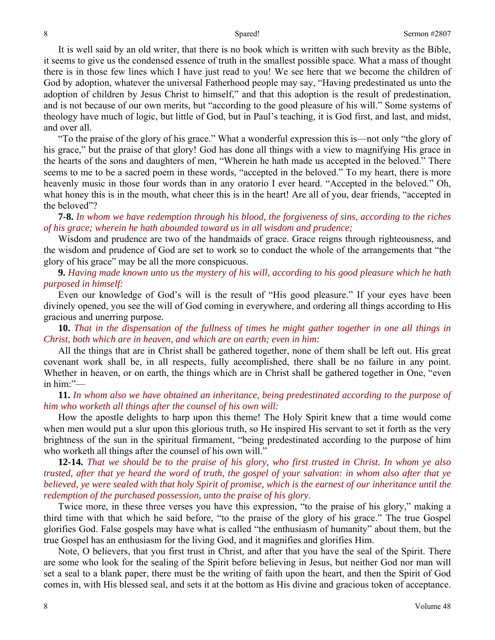It is well said by an old writer, that there is no book which is written with such brevity as the Bible, it seems to give us the condensed essence of truth in the smallest possible space. What a mass of thought there is in those few lines which I have just read to you! We see here that we become the children of God by adoption, whatever the universal Fatherhood people may say, "Having predestinated us unto the adoption of children by Jesus Christ to himself," and that this adoption is the result of predestination, and is not because of our own merits, but "according to the good pleasure of his will." Some systems of theology have much of logic, but little of God, but in Paul's teaching, it is God first, and last, and midst, and over all.

"To the praise of the glory of his grace." What a wonderful expression this is—not only "the glory of his grace," but the praise of that glory! God has done all things with a view to magnifying His grace in the hearts of the sons and daughters of men, "Wherein he hath made us accepted in the beloved." There seems to me to be a sacred poem in these words, "accepted in the beloved." To my heart, there is more heavenly music in those four words than in any oratorio I ever heard. "Accepted in the beloved." Oh, what honey this is in the mouth, what cheer this is in the heart! Are all of you, dear friends, "accepted in the beloved"?

**7-8.** *In whom we have redemption through his blood, the forgiveness of sins, according to the riches of his grace; wherein he hath abounded toward us in all wisdom and prudence;* 

Wisdom and prudence are two of the handmaids of grace. Grace reigns through righteousness, and the wisdom and prudence of God are set to work so to conduct the whole of the arrangements that "the glory of his grace" may be all the more conspicuous.

**9.** *Having made known unto us the mystery of his will, according to his good pleasure which he hath purposed in himself:* 

Even our knowledge of God's will is the result of "His good pleasure." If your eyes have been divinely opened, you see the will of God coming in everywhere, and ordering all things according to His gracious and unerring purpose.

**10.** *That in the dispensation of the fullness of times he might gather together in one all things in Christ, both which are in heaven, and which are on earth; even in him:* 

All the things that are in Christ shall be gathered together, none of them shall be left out. His great covenant work shall be, in all respects, fully accomplished, there shall be no failure in any point. Whether in heaven, or on earth, the things which are in Christ shall be gathered together in One, "even in him:"—

**11.** *In whom also we have obtained an inheritance, being predestinated according to the purpose of him who worketh all things after the counsel of his own will:* 

How the apostle delights to harp upon this theme! The Holy Spirit knew that a time would come when men would put a slur upon this glorious truth, so He inspired His servant to set it forth as the very brightness of the sun in the spiritual firmament, "being predestinated according to the purpose of him who worketh all things after the counsel of his own will."

**12-14.** *That we should be to the praise of his glory, who first trusted in Christ. In whom ye also trusted, after that ye heard the word of truth, the gospel of your salvation: in whom also after that ye believed, ye were sealed with that holy Spirit of promise, which is the earnest of our inheritance until the redemption of the purchased possession, unto the praise of his glory.* 

Twice more, in these three verses you have this expression, "to the praise of his glory," making a third time with that which he said before, "to the praise of the glory of his grace." The true Gospel glorifies God. False gospels may have what is called "the enthusiasm of humanity" about them, but the true Gospel has an enthusiasm for the living God, and it magnifies and glorifies Him.

Note, O believers, that you first trust in Christ, and after that you have the seal of the Spirit. There are some who look for the sealing of the Spirit before believing in Jesus, but neither God nor man will set a seal to a blank paper, there must be the writing of faith upon the heart, and then the Spirit of God comes in, with His blessed seal, and sets it at the bottom as His divine and gracious token of acceptance.